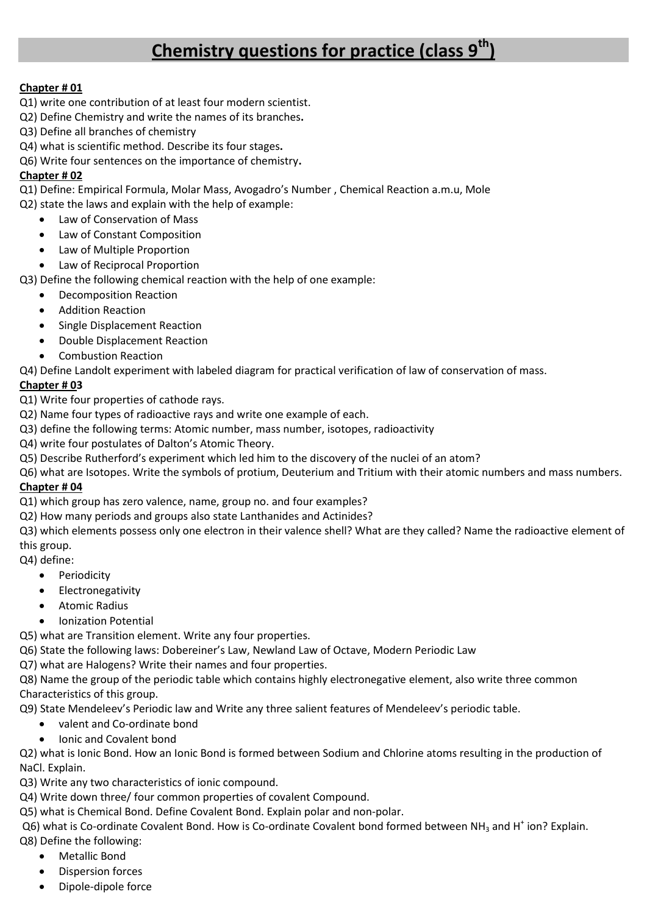# **Chemistry questions for practice (class 9th)**

### **Chapter # 01**

- Q1) write one contribution of at least four modern scientist.
- Q2) Define Chemistry and write the names of its branches**.**
- Q3) Define all branches of chemistry
- Q4) what is scientific method. Describe its four stages**.**

Q6) Write four sentences on the importance of chemistry**.**

### **Chapter # 02**

Q1) Define: Empirical Formula, Molar Mass, Avogadro's Number , Chemical Reaction a.m.u, Mole

- Q2) state the laws and explain with the help of example:
	- Law of Conservation of Mass
	- Law of Constant Composition
	- Law of Multiple Proportion
	- Law of Reciprocal Proportion

Q3) Define the following chemical reaction with the help of one example:

- Decomposition Reaction
- Addition Reaction
- Single Displacement Reaction
- Double Displacement Reaction
- Combustion Reaction

Q4) Define Landolt experiment with labeled diagram for practical verification of law of conservation of mass.

### **Chapter # 03**

Q1) Write four properties of cathode rays.

- Q2) Name four types of radioactive rays and write one example of each.
- Q3) define the following terms: Atomic number, mass number, isotopes, radioactivity
- Q4) write four postulates of Dalton's Atomic Theory.
- Q5) Describe Rutherford's experiment which led him to the discovery of the nuclei of an atom?
- Q6) what are Isotopes. Write the symbols of protium, Deuterium and Tritium with their atomic numbers and mass numbers.

#### **Chapter # 04**

Q1) which group has zero valence, name, group no. and four examples?

Q2) How many periods and groups also state Lanthanides and Actinides?

Q3) which elements possess only one electron in their valence shell? What are they called? Name the radioactive element of this group.

- Q4) define:
	- Periodicity
	- Electronegativity
	- Atomic Radius
	- Ionization Potential

Q5) what are Transition element. Write any four properties.

Q6) State the following laws: Dobereiner's Law, Newland Law of Octave, Modern Periodic Law

Q7) what are Halogens? Write their names and four properties.

Q8) Name the group of the periodic table which contains highly electronegative element, also write three common Characteristics of this group.

Q9) State Mendeleev's Periodic law and Write any three salient features of Mendeleev's periodic table.

- valent and Co-ordinate bond
- Ionic and Covalent bond

Q2) what is Ionic Bond. How an Ionic Bond is formed between Sodium and Chlorine atoms resulting in the production of NaCl. Explain.

Q3) Write any two characteristics of ionic compound.

Q4) Write down three/ four common properties of covalent Compound.

Q5) what is Chemical Bond. Define Covalent Bond. Explain polar and non-polar.

Q6) what is Co-ordinate Covalent Bond. How is Co-ordinate Covalent bond formed between NH<sub>3</sub> and H<sup>+</sup> ion? Explain.

- Q8) Define the following:
	- Metallic Bond
	- Dispersion forces
	- Dipole-dipole force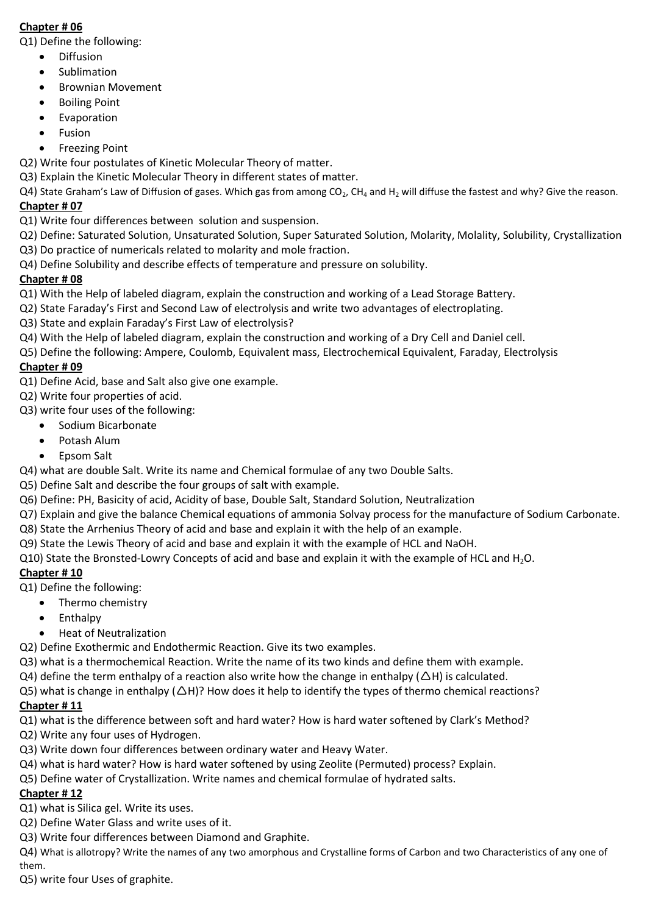### **Chapter # 06**

Q1) Define the following:

- **•** Diffusion
- Sublimation
- Brownian Movement
- Boiling Point
- **•** Evaporation
- Fusion
- Freezing Point
- Q2) Write four postulates of Kinetic Molecular Theory of matter.
- Q3) Explain the Kinetic Molecular Theory in different states of matter.

 $Q4$ ) State Graham's Law of Diffusion of gases. Which gas from among  $CO<sub>2</sub>$ , CH<sub>4</sub> and H<sub>2</sub> will diffuse the fastest and why? Give the reason. **Chapter # 07**

- Q1) Write four differences between solution and suspension.
- Q2) Define: Saturated Solution, Unsaturated Solution, Super Saturated Solution, Molarity, Molality, Solubility, Crystallization
- Q3) Do practice of numericals related to molarity and mole fraction.
- Q4) Define Solubility and describe effects of temperature and pressure on solubility.

## **Chapter # 08**

- Q1) With the Help of labeled diagram, explain the construction and working of a Lead Storage Battery.
- Q2) State Faraday's First and Second Law of electrolysis and write two advantages of electroplating.
- Q3) State and explain Faraday's First Law of electrolysis?
- Q4) With the Help of labeled diagram, explain the construction and working of a Dry Cell and Daniel cell.
- Q5) Define the following: Ampere, Coulomb, Equivalent mass, Electrochemical Equivalent, Faraday, Electrolysis

## **Chapter # 09**

- Q1) Define Acid, base and Salt also give one example.
- Q2) Write four properties of acid.
- Q3) write four uses of the following:
	- Sodium Bicarbonate
	- Potash Alum
	- Epsom Salt
- Q4) what are double Salt. Write its name and Chemical formulae of any two Double Salts.
- Q5) Define Salt and describe the four groups of salt with example.
- Q6) Define: PH, Basicity of acid, Acidity of base, Double Salt, Standard Solution, Neutralization
- Q7) Explain and give the balance Chemical equations of ammonia Solvay process for the manufacture of Sodium Carbonate.
- Q8) State the Arrhenius Theory of acid and base and explain it with the help of an example.
- Q9) State the Lewis Theory of acid and base and explain it with the example of HCL and NaOH.
- Q10) State the Bronsted-Lowry Concepts of acid and base and explain it with the example of HCL and  $H_2O$ .

# **Chapter # 10**

- Q1) Define the following:
	- Thermo chemistry
		- Enthalpy
	- Heat of Neutralization
- Q2) Define Exothermic and Endothermic Reaction. Give its two examples.
- Q3) what is a thermochemical Reaction. Write the name of its two kinds and define them with example.
- $Q4$ ) define the term enthalpy of a reaction also write how the change in enthalpy ( $\Delta H$ ) is calculated.
- Q5) what is change in enthalpy  $(\Delta H)$ ? How does it help to identify the types of thermo chemical reactions?

# **Chapter # 11**

- Q1) what is the difference between soft and hard water? How is hard water softened by Clark's Method?
- Q2) Write any four uses of Hydrogen.
- Q3) Write down four differences between ordinary water and Heavy Water.
- Q4) what is hard water? How is hard water softened by using Zeolite (Permuted) process? Explain.
- Q5) Define water of Crystallization. Write names and chemical formulae of hydrated salts.

# **Chapter # 12**

- Q1) what is Silica gel. Write its uses.
- Q2) Define Water Glass and write uses of it.
- Q3) Write four differences between Diamond and Graphite.
- Q4) What is allotropy? Write the names of any two amorphous and Crystalline forms of Carbon and two Characteristics of any one of them.

Q5) write four Uses of graphite.